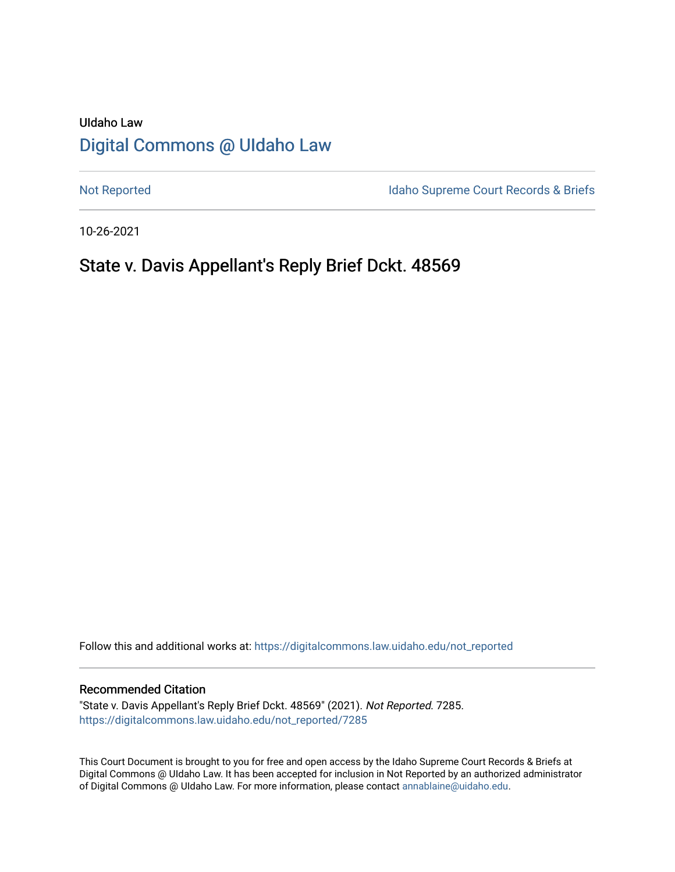# UIdaho Law [Digital Commons @ UIdaho Law](https://digitalcommons.law.uidaho.edu/)

[Not Reported](https://digitalcommons.law.uidaho.edu/not_reported) **Idaho Supreme Court Records & Briefs** 

10-26-2021

# State v. Davis Appellant's Reply Brief Dckt. 48569

Follow this and additional works at: [https://digitalcommons.law.uidaho.edu/not\\_reported](https://digitalcommons.law.uidaho.edu/not_reported?utm_source=digitalcommons.law.uidaho.edu%2Fnot_reported%2F7285&utm_medium=PDF&utm_campaign=PDFCoverPages) 

#### Recommended Citation

"State v. Davis Appellant's Reply Brief Dckt. 48569" (2021). Not Reported. 7285. [https://digitalcommons.law.uidaho.edu/not\\_reported/7285](https://digitalcommons.law.uidaho.edu/not_reported/7285?utm_source=digitalcommons.law.uidaho.edu%2Fnot_reported%2F7285&utm_medium=PDF&utm_campaign=PDFCoverPages)

This Court Document is brought to you for free and open access by the Idaho Supreme Court Records & Briefs at Digital Commons @ UIdaho Law. It has been accepted for inclusion in Not Reported by an authorized administrator of Digital Commons @ UIdaho Law. For more information, please contact [annablaine@uidaho.edu](mailto:annablaine@uidaho.edu).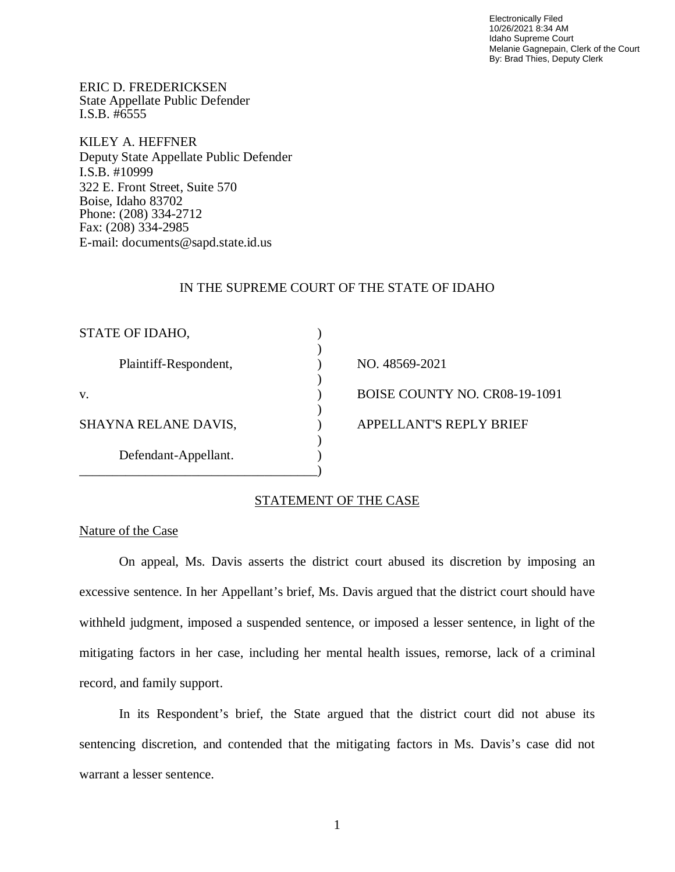Electronically Filed 10/26/2021 8:34 AM Idaho Supreme Court Melanie Gagnepain, Clerk of the Court By: Brad Thies, Deputy Clerk

ERIC D. FREDERICKSEN State Appellate Public Defender I.S.B. #6555

KILEY A. HEFFNER Deputy State Appellate Public Defender I.S.B. #10999 322 E. Front Street, Suite 570 Boise, Idaho 83702 Phone: (208) 334-2712 Fax: (208) 334-2985 E-mail: documents@sapd.state.id.us

#### IN THE SUPREME COURT OF THE STATE OF IDAHO

| STATE OF IDAHO,       |                               |
|-----------------------|-------------------------------|
| Plaintiff-Respondent, | NO. 48569-2021                |
| V.                    | BOISE COUNTY NO. CR08-19-1091 |
| SHAYNA RELANE DAVIS,  | APPELLANT'S REPLY BRIEF       |
| Defendant-Appellant.  |                               |
|                       |                               |

# STATEMENT OF THE CASE

#### Nature of the Case

On appeal, Ms. Davis asserts the district court abused its discretion by imposing an excessive sentence. In her Appellant's brief, Ms. Davis argued that the district court should have withheld judgment, imposed a suspended sentence, or imposed a lesser sentence, in light of the mitigating factors in her case, including her mental health issues, remorse, lack of a criminal record, and family support.

In its Respondent's brief, the State argued that the district court did not abuse its sentencing discretion, and contended that the mitigating factors in Ms. Davis's case did not warrant a lesser sentence.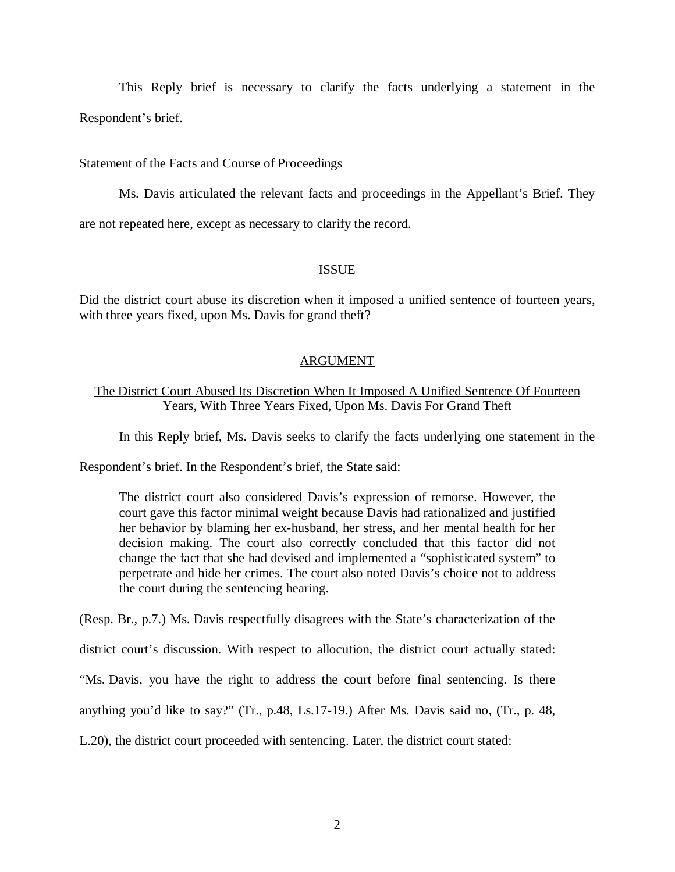This Reply brief is necessary to clarify the facts underlying a statement in the Respondent's brief.

#### Statement of the Facts and Course of Proceedings

Ms. Davis articulated the relevant facts and proceedings in the Appellant's Brief. They are not repeated here, except as necessary to clarify the record.

### ISSUE

Did the district court abuse its discretion when it imposed a unified sentence of fourteen years, with three years fixed, upon Ms. Davis for grand theft?

# ARGUMENT

# The District Court Abused Its Discretion When It Imposed A Unified Sentence Of Fourteen Years, With Three Years Fixed, Upon Ms. Davis For Grand Theft

In this Reply brief, Ms. Davis seeks to clarify the facts underlying one statement in the

Respondent's brief. In the Respondent's brief, the State said:

The district court also considered Davis's expression of remorse. However, the court gave this factor minimal weight because Davis had rationalized and justified her behavior by blaming her ex-husband, her stress, and her mental health for her decision making. The court also correctly concluded that this factor did not change the fact that she had devised and implemented a "sophisticated system" to perpetrate and hide her crimes. The court also noted Davis's choice not to address the court during the sentencing hearing.

(Resp. Br., p.7.) Ms. Davis respectfully disagrees with the State's characterization of the

district court's discussion. With respect to allocution, the district court actually stated:

"Ms. Davis, you have the right to address the court before final sentencing. Is there

anything you'd like to say?" (Tr., p.48, Ls.17-19.) After Ms. Davis said no, (Tr., p. 48,

L.20), the district court proceeded with sentencing. Later, the district court stated: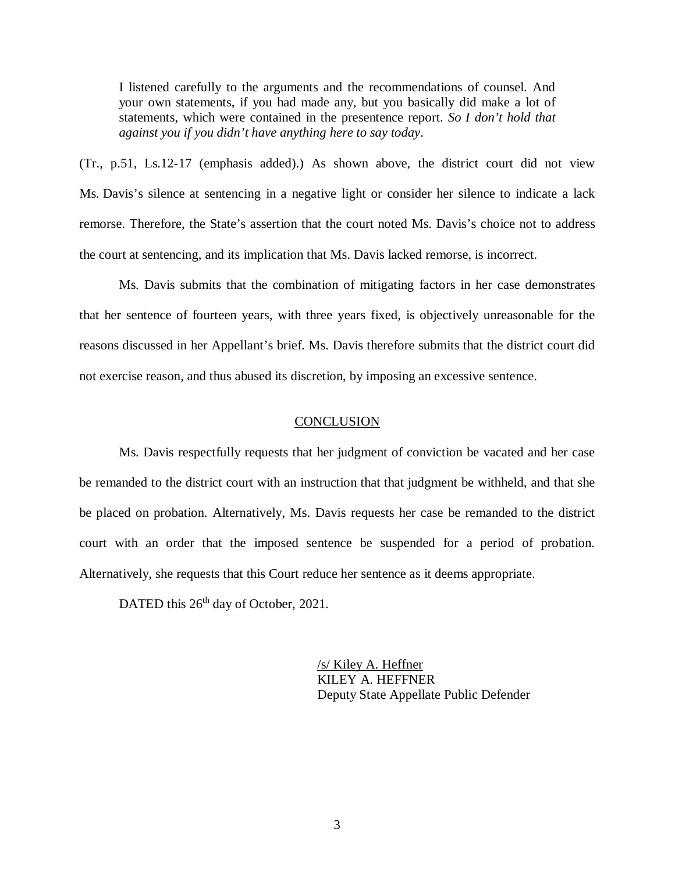I listened carefully to the arguments and the recommendations of counsel. And your own statements, if you had made any, but you basically did make a lot of statements, which were contained in the presentence report. *So I don't hold that against you if you didn't have anything here to say today*.

(Tr., p.51, Ls.12-17 (emphasis added).) As shown above, the district court did not view Ms. Davis's silence at sentencing in a negative light or consider her silence to indicate a lack remorse. Therefore, the State's assertion that the court noted Ms. Davis's choice not to address the court at sentencing, and its implication that Ms. Davis lacked remorse, is incorrect.

Ms. Davis submits that the combination of mitigating factors in her case demonstrates that her sentence of fourteen years, with three years fixed, is objectively unreasonable for the reasons discussed in her Appellant's brief. Ms. Davis therefore submits that the district court did not exercise reason, and thus abused its discretion, by imposing an excessive sentence.

#### **CONCLUSION**

Ms. Davis respectfully requests that her judgment of conviction be vacated and her case be remanded to the district court with an instruction that that judgment be withheld, and that she be placed on probation. Alternatively, Ms. Davis requests her case be remanded to the district court with an order that the imposed sentence be suspended for a period of probation. Alternatively, she requests that this Court reduce her sentence as it deems appropriate.

DATED this 26<sup>th</sup> day of October, 2021.

/s/ Kiley A. Heffner KILEY A. HEFFNER Deputy State Appellate Public Defender